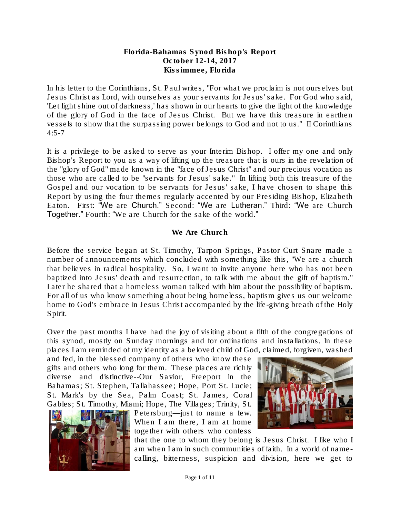#### Florida-Bahamas Synod Bishop's Report October 12-14, 2017 Kissimmee, Florida

In his letter to the Corinthians, St. Paul writes, "For what we proclaim is not ourselves but Jesus Christ as Lord, with ourselves as your servants for Jesus' sake. For God who said, 'Let light shine out of darkness,' has shown in our hearts to give the light of the knowledge of the glory of God in the face of Jesus Christ. But we have this treasure in earthen vessels to show that the surpassing power belongs to God and not to us." II Corinthians  $4:5 - 7$ 

It is a privilege to be asked to serve as your Interim Bishop. I offer my one and only Bishop's Report to you as a way of lifting up the treasure that is ours in the revelation of the "glory of God" made known in the "face of Jesus Christ" and our precious vocation as those who are called to be "servants for Jesus' sake." In lifting both this treasure of the Gospel and our vocation to be servants for Jesus' sake, I have chosen to shape this Report by using the four themes regularly accented by our Presiding Bishop, Elizabeth Eaton. First: "We are Church." Second: "We are Lutheran." Third: "We are Church Together." Fourth: "We are Church for the sake of the world."

# We Are Church

Before the service began at St. Timothy, Tarpon Springs, Pastor Curt Snare made a number of announcements which concluded with something like this, "We are a church that believes in radical hospitality. So, I want to invite anyone here who has not been baptized into Jesus' death and resurrection, to talk with me about the gift of baptism." Later he shared that a homeless woman talked with him about the possibility of baptism. For all of us who know something about being homeless, baptism gives us our welcome home to God's embrace in Jesus Christ accompanied by the life-giving breath of the Holy Spirit.

Over the past months I have had the joy of visiting about a fifth of the congregations of this synod, mostly on Sunday mornings and for ordinations and installations. In these places I am reminded of my identity as a beloved child of God, claimed, forgiven, washed

and fed, in the blessed company of others who know these gifts and others who long for them. These places are richly diverse and distinctive--Our Savior, Freeport in the Bahamas; St. Stephen, Tallahassee; Hope, Port St. Lucie; St. Mark's by the Sea, Palm Coast; St. James, Coral Gables; St. Timothy, Miami; Hope, The Villages; Trinity, St.



Petersburg—just to name a few. When I am there, I am at home together with others who confess

that the one to whom they belong is Jesus Christ. I like who I am when I am in such communities of faith. In a world of namecalling, bitterness, suspicion and division, here we get to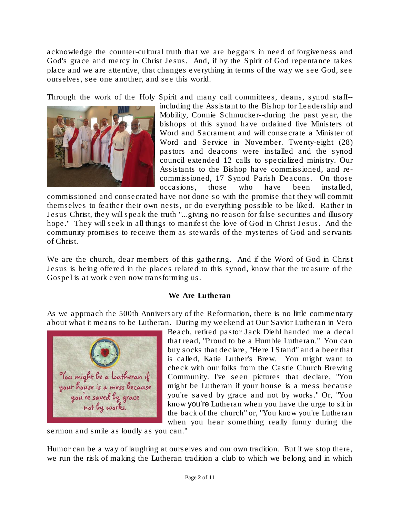acknowledge the counter-cultural truth that we are beggars in need of forgiveness and God's grace and mercy in Christ Jesus. And, if by the Spirit of God repentance takes place and we are attentive, that changes everything in terms of the way we see God, see ourselves, see one another, and see this world.

Through the work of the Holy Spirit and many call committees, deans, synod staff--



including the Assistant to the Bishop for Leadership and Mobility, Connie Schmucker--during the past year, the bishops of this synod have ordained five Ministers of Word and Sacrament and will consecrate a Minister of Word and Service in November. Twenty-eight (28) pastors and deacons were installed and the synod council extended 12 calls to specialized ministry. Our Assistants to the Bishop have commissioned, and recommissioned, 17 Synod Parish Deacons. On those occasions, those who have been installed,

commissioned and consecrated have not done so with the promise that they will commit themselves to feather their own nests, or do everything possible to be liked. Rather in Jesus Christ, they will speak the truth "...giving no reason for false securities and illusory hope." They will seek in all things to manifest the love of God in Christ Jesus. And the community promises to receive them as stewards of the mysteries of God and servants of Christ.

We are the church, dear members of this gathering. And if the Word of God in Christ Jesus is being offered in the places related to this synod, know that the treasure of the Gospel is at work even now transforming us.

### We Are Lutheran

As we approach the 500th Anniversary of the Reformation, there is no little commentary about what it means to be Lutheran. During my weekend at Our Savior Lutheran in Vero



Beach, retired pastor Jack Diehl handed me a decal that read, "Proud to be a Humble Lutheran." You can buy socks that declare, "Here I Stand" and a beer that is called, Katie Luther's Brew. You might want to check with our folks from the Castle Church Brewing Community. I've seen pictures that declare, "You might be Lutheran if your house is a mess because you're saved by grace and not by works." Or, "You know you're Lutheran when you have the urge to sit in the back of the church" or, "You know you're Lutheran when you hear something really funny during the

sermon and smile as loudly as you can."

Humor can be a way of laughing at ourselves and our own tradition. But if we stop there, we run the risk of making the Lutheran tradition a club to which we belong and in which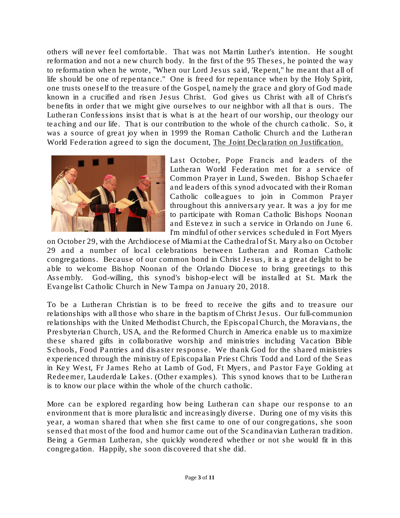others will never feel comfortable. That was not Martin Luther's intention. He sought reformation and not a new church body. In the first of the 95 Theses, he pointed the way to reformation when he wrote, "When our Lord Jesus said, 'Repent," he meant that all of life should be one of repentance." One is freed for repentance when by the Holy Spirit, one trusts oneself to the treasure of the Gospel, namely the grace and glory of God made known in a crucified and risen Jesus Christ. God gives us Christ with all of Christ's benefits in order that we might give ourselves to our neighbor with all that is ours. The Lutheran Confessions insist that is what is at the heart of our worship, our theology our teaching and our life. That is our contribution to the whole of the church catholic. So, it was a source of great joy when in 1999 the Roman Catholic Church and the Lutheran World Federation agreed to sign the document, *The Joint Declaration on Justification.*



Last October, Pope Francis and leaders of the Lutheran World Federation met for a service of Common Prayer in Lund, Sweden. Bishop Schaefer and leaders of this synod advocated with their Roman Catholic colleagues to join in Common Prayer throughout this anniversary year. It was a joy for me to participate with Roman Catholic Bishops Noonan and Estevez in such a service in Orlando on June 6. I'm mindful of other services scheduled in Fort Myers

on October 29, with the Archdiocese of Miami at the Cathedral of St. Mary also on October 29 and a number of local celebrations between Lutheran and Roman Catholic congregations. Because of our common bond in Christ Jesus, it is a great delight to be able to welcome Bishop Noonan of the Orlando Diocese to bring greetings to this Assembly. God-willing, this synod's bishop-elect will be installed at St. Mark the Evangelist Catholic Church in New Tampa on January 20, 2018.

To be a Lutheran Christian is to be freed to receive the gifts and to treasure our relationships with all those who share in the baptism of Christ Jesus. Our full-communion relationships with the United Methodist Church, the Episcopal Church, the Moravians, the Presbyterian Church, USA, and the Reformed Church in America enable us to maximize these shared gifts in collaborative worship and ministries including Vacation Bible Schools, Food Pantries and disaster response. We thank God for the shared ministries experienced through the ministry of Episcopalian Priest Chris Todd and Lord of the Seas in Key West, Fr James Reho at Lamb of God, Ft Myers, and Pastor Faye Golding at Redeemer, Lauderdale Lakes. (Other examples). This synod knows that to be Lutheran is to know our place within the whole of the church catholic.

More can be explored regarding how being Lutheran can shape our response to an environment that is more pluralistic and increasingly diverse. During one of my visits this year, a woman shared that when she first came to one of our congregations, she soon sensed that most of the food and humor came out of the Scandinavian Lutheran tradition. Being a German Lutheran, she quickly wondered whether or not she would fit in this congregation. Happily, she soon discovered that she did.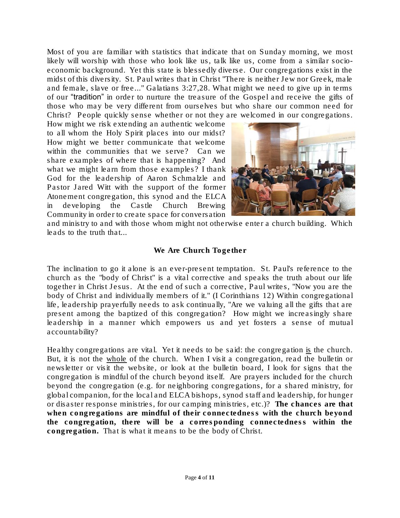Most of you are familiar with statistics that indicate that on Sunday morning, we most likely will worship with those who look like us, talk like us, come from a similar socioeconomic background. Yet this state is blessedly diverse. Our congregations exist in the midst of this diversity. St. Paul writes that in Christ "There is neither Jew nor Greek, male and female, slave or free..." Galatians 3:27,28. What might we need to give up in terms of our "tradition" in order to nurture the treasure of the Gospel and receive the gifts of those who may be very different from ourselves but who share our common need for Christ? People quickly sense whether or not they are welcomed in our congregations.

How might we risk extending an authentic welcome to all whom the Holy Spirit places into our midst? How might we better communicate that welcome within the communities that we serve? Can we share examples of where that is happening? And what we might learn from those examples? I thank God for the leadership of Aaron Schmalzle and Pastor Jared Witt with the support of the former Atonement congregation, this synod and the ELCA in developing the Castle Church Brewing Community in order to create space for conversation



and ministry to and with those whom might not otherwise enter a church building. Which leads to the truth that...

#### We Are Church Together

The inclination to go it alone is an ever-present temptation. St. Paul's reference to the church as the "body of Christ" is a vital corrective and speaks the truth about our life together in Christ Jesus. At the end of such a corrective, Paul writes, "Now you are the body of Christ and individually members of it." (I Corinthians 12) Within congregational life, leadership prayerfully needs to ask continually, "Are we valuing all the gifts that are present among the baptized of this congregation? How might we increasingly share leadership in a manner which empowers us and yet fosters a sense of mutual accountability?

Healthy congregations are vital. Yet it needs to be said: the congregation is the church. But, it is not the whole of the church. When I visit a congregation, read the bulletin or newsletter or visit the website, or look at the bulletin board, I look for signs that the congregation is mindful of the church beyond itself. Are prayers included for the church beyond the congregation (e.g. for neighboring congregations, for a shared ministry, for global companion, for the local and ELCA bishops, synod staff and leadership, for hunger or disaster response ministries, for our camping ministries, etc.)? The chances are that when congregations are mindful of their connectedness with the church beyond the congregation, there will be a corresponding connectedness within the congregation. That is what it means to be the body of Christ.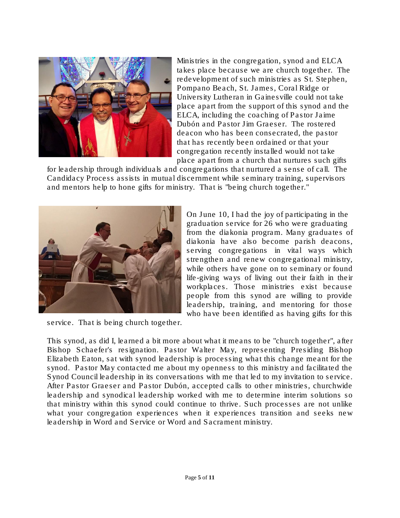

Ministries in the congregation, synod and ELCA takes place because we are church together. The redevelopment of such ministries as St. Stephen, Pompano Beach, St. James, Coral Ridge or University Lutheran in Gainesville could not take place apart from the support of this synod and the ELCA, including the coaching of Pastor Jaime Dubón and Pastor Jim Graeser. The rostered deacon who has been consecrated, the pastor that has recently been ordained or that your congregation recently installed would not take place apart from a church that nurtures such gifts

for leadership through individuals and congregations that nurtured a sense of call. The Candidacy Process assists in mutual discernment while seminary training, supervisors and mentors help to hone gifts for ministry. That is "being church together."



service. That is being church together.

On June 10, I had the joy of participating in the graduation service for 26 who were graduating from the diakonia program. Many graduates of diakonia have also become parish deacons, serving congregations in vital ways which strengthen and renew congregational ministry, while others have gone on to seminary or found life-giving ways of living out their faith in their workplaces. Those ministries exist because people from this synod are willing to provide leadership, training, and mentoring for those who have been identified as having gifts for this

This synod, as did I, learned a bit more about what it means to be "church together", after Bishop Schaefer's resignation. Pastor Walter May, representing Presiding Bishop Elizabeth Eaton, sat with synod leadership is processing what this change meant for the synod. Pastor May contacted me about my openness to this ministry and facilitated the Synod Council leadership in its conversations with me that led to my invitation to service. After Pastor Graeser and Pastor Dubón, accepted calls to other ministries, churchwide leadership and synodical leadership worked with me to determine interim solutions so that ministry within this synod could continue to thrive. Such processes are not unlike what your congregation experiences when it experiences transition and seeks new leadership in Word and Service or Word and Sacrament ministry.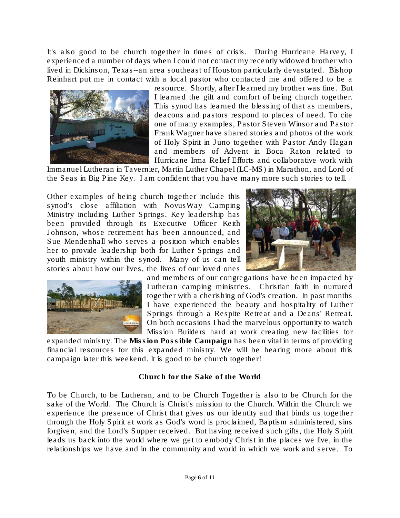It's also good to be church together in times of crisis. During Hurricane Harvey, I experienced a number of days when I could not contact my recently widowed brother who lived in Dickinson, Texas--an area southeast of Houston particularly devastated. Bishop Reinhart put me in contact with a local pastor who contacted me and offered to be a



resource. Shortly, after I learned my brother was fine. But I learned the gift and comfort of being church together. This synod has learned the blessing of that as members, deacons and pastors respond to places of need. To cite one of many examples, Pastor Steven Winsor and Pastor Frank Wagner have shared stories and photos of the work of Holy Spirit in Juno together with Pastor Andy Hagan and members of Advent in Boca Raton related to Hurricane Irma Relief Efforts and collaborative work with

Immanuel Lutheran in Tavernier, Martin Luther Chapel (LC-MS) in Marathon, and Lord of the Seas in Big Pine Key. I am confident that you have many more such stories to tell.

Other examples of being church together include this synod's close affiliation with NovusWay Camping Ministry including Luther Springs. Key leadership has been provided through its Executive Officer Keith Johnson, whose retirement has been announced, and Sue Mendenhall who serves a position which enables her to provide leadership both for Luther Springs and youth ministry within the synod. Many of us can tell stories about how our lives, the lives of our loved ones





and members of our congregations have been impacted by Lutheran camping ministries. Christian faith in nurtured together with a cherishing of God's creation. In past months I have experienced the beauty and hospitality of Luther Springs through a Respite Retreat and a Deans' Retreat. On both occasions I had the marvelous opportunity to watch Mission Builders hard at work creating new facilities for

expanded ministry. The Mission Possible Campaign has been vital in terms of providing financial resources for this expanded ministry. We will be hearing more about this campaign later this weekend. It is good to be church together!

Church for the Sake of the World

To be Church, to be Lutheran, and to be Church Together is also to be Church for the sake of the World. The Church is Christ's mission to the Church. Within the Church we experience the presence of Christ that gives us our identity and that binds us together through the Holy Spirit at work as God's word is proclaimed, Baptism administered, sins forgiven, and the Lord's Supper received. But having received such gifts, the Holy Spirit leads us back into the world where we get to embody Christ in the places we live, in the relationships we have and in the community and world in which we work and serve. To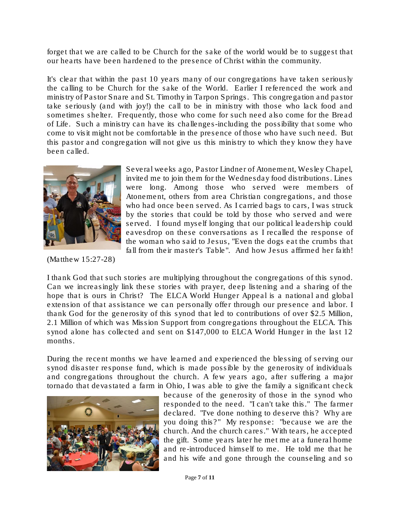forget that we are called to be Church for the sake of the world would be to suggest that our hearts have been hardened to the presence of Christ within the community.

It's clear that within the past 10 years many of our congregations have taken seriously the calling to be Church for the sake of the World. Earlier I referenced the work and ministry of Pastor Snare and St. Timothy in Tarpon Springs. This congregation and pastor take seriously (and with joy!) the call to be in ministry with those who lack food and sometimes shelter. Frequently, those who come for such need also come for the Bread of Life. Such a ministry can have its challenges-including the possibility that some who come to visit might not be comfortable in the presence of those who have such need. But this pastor and congregation will not give us this ministry to which they know they have been called.



(Matthew 15:27-28)

Several weeks ago, Pastor Lindner of Atonement, Wesley Chapel, invited me to join them for the Wednesday food distributions. Lines were long. Among those who served were members of Atonement, others from area Christian congregations, and those who had once been served. As I carried bags to cars, I was struck by the stories that could be told by those who served and were served. I found myself longing that our political leadership could eavesdrop on these conversations as I recalled the response of the woman who said to Jesus, "Even the dogs eat the crumbs that fall from their master's Table". And how Jesus affirmed her faith!

I thank God that such stories are multiplying throughout the congregations of this synod. Can we increasingly link these stories with prayer, deep listening and a sharing of the hope that is ours in Christ? The ELCA World Hunger Appeal is a national and global extension of that assistance we can personally offer through our presence and labor. I thank God for the generosity of this synod that led to contributions of over \$2.5 Million, 2.1 Million of which was Mission Support from congregations throughout the ELCA. This synod alone has collected and sent on \$147,000 to ELCA World Hunger in the last 12 months.

During the recent months we have learned and experienced the blessing of serving our synod disaster response fund, which is made possible by the generosity of individuals and congregations throughout the church. A few years ago, after suffering a major tornado that devastated a farm in Ohio, I was able to give the family a significant check



because of the generosity of those in the synod who responded to the need. "I can't take this." The farmer declared. "I've done nothing to deserve this? Why are you doing this?" My response: "because we are the church. And the church cares." With tears, he accepted the gift. Some years later he met me at a funeral home and re-introduced himself to me. He told me that he and his wife and gone through the counseling and so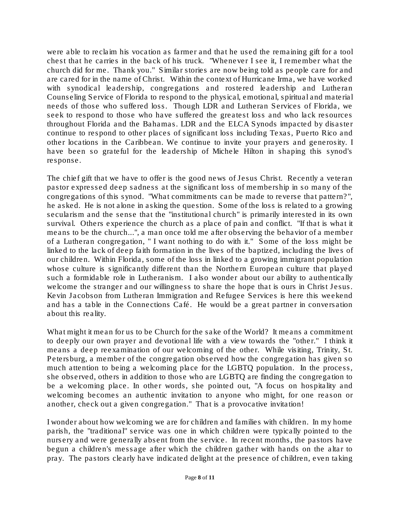were able to reclaim his vocation as farmer and that he used the remaining gift for a tool chest that he carries in the back of his truck. "Whenever I see it, I remember what the church did for me. Thank you." Similar stories are now being told as people care for and are cared for in the name of Christ. Within the context of Hurricane Irma, we have worked with synodical leadership, congregations and rostered leadership and Lutheran Counseling Service of Florida to respond to the physical, emotional, spiritual and material needs of those who suffered loss. Though LDR and Lutheran Services of Florida, we seek to respond to those who have suffered the greatest loss and who lack resources throughout Florida and the Bahamas. LDR and the ELCA Synods impacted by disaster continue to respond to other places of significant loss including Texas, Puerto Rico and other locations in the Caribbean. We continue to invite your prayers and generosity. I have been so grateful for the leadership of Michele Hilton in shaping this synod's response.

The chief gift that we have to offer is the good news of Jesus Christ. Recently a veteran pastor expressed deep sadness at the significant loss of membership in so many of the congregations of this synod. "What commitments can be made to reverse that pattern?", he asked. He is not alone in asking the question. Some of the loss is related to a growing secularism and the sense that the "institutional church" is primarily interested in its own survival. Others experience the church as a place of pain and conflict. "If that is what it means to be the church...", a man once told me after observing the behavior of a member of a Lutheran congregation, " I want nothing to do with it." Some of the loss might be linked to the lack of deep faith formation in the lives of the baptized, including the lives of our children. Within Florida, some of the loss in linked to a growing immigrant population whose culture is significantly different than the Northern European culture that played such a formidable role in Lutheranism. I also wonder about our ability to authentically welcome the stranger and our willingness to share the hope that is ours in Christ Jesus. Kevin Jacobson from Lutheran Immigration and Refugee Services is here this weekend and has a table in the Connections Café. He would be a great partner in conversation about this reality.

What might it mean for us to be Church for the sake of the World? It means a commitment to deeply our own prayer and devotional life with a view towards the "other." I think it means a deep reexamination of our welcoming of the other. While visiting, Trinity, St. Petersburg, a member of the congregation observed how the congregation has given so much attention to being a welcoming place for the LGBTQ population. In the process, she observed, others in addition to those who are LGBTQ are finding the congregation to be a welcoming place. In other words, she pointed out, "A focus on hospitality and welcoming becomes an authentic invitation to anyone who might, for one reason or another, check out a given congregation." That is a provocative invitation!

I wonder about how welcoming we are for children and families with children. In my home parish, the "traditional" service was one in which children were typically pointed to the nursery and were generally absent from the service. In recent months, the pastors have begun a children's message after which the children gather with hands on the altar to pray. The pastors clearly have indicated delight at the presence of children, even taking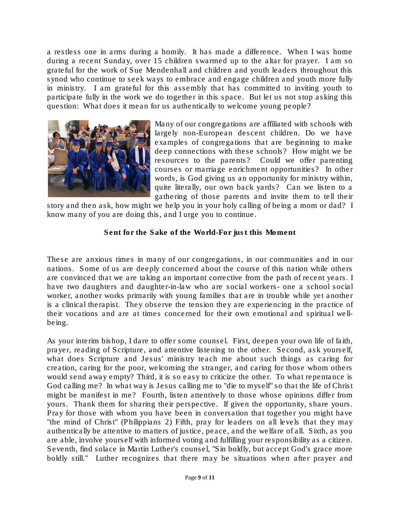a restless one in arms during a homily. It has made a difference. When I was home during a recent Sunday, over 15 children swarmed up to the altar for prayer. I am so grateful for the work of Sue Mendenhall and children and youth leaders throughout this synod who continue to seek ways to embrace and engage children and youth more fully in ministry. I am grateful for this assembly that has committed to inviting youth to participate fully in the work we do together in this space. But let us not stop asking this question: What does it mean for us authentically to welcome young people?



Many of our congregations are affiliated with schools with largely non-European descent children. Do we have examples of congregations that are beginning to make deep connections with these schools? How might we be resources to the parents? Could we offer parenting courses or marriage enrichment opportunities? In other words, is God giving us an opportunity for ministry within, quite literally, our own back yards? Can we listen to a gathering of those parents and invite them to tell their

story and then ask, how might we help you in your holy calling of being a mom or dad? I know many of you are doing this, and I urge you to continue.

Sent for the Sake of the World-For just this Moment

These are anxious times in many of our congregations, in our communities and in our nations. Some of us are deeply concerned about the course of this nation while others are convinced that we are taking an important corrective from the path of recent years. I have two daughters and daughter-in-law who are social workers- one a school social worker, another works primarily with young families that are in trouble while yet another is a clinical therapist. They observe the tension they are experiencing in the practice of their vocations and are at times concerned for their own emotional and spiritual wellbeing.

As your interim bishop, I dare to offer some counsel. First, deepen your own life of faith, prayer, reading of Scripture, and attentive listening to the other. Second, ask yourself, what does Scripture and Jesus' ministry teach me about such things as caring for creation, caring for the poor, welcoming the stranger, and caring for those whom others would send away empty? Third, it is so easy to criticize the other. To what repentance is God calling me? In what way is Jesus calling me to "die to myself" so that the life of Christ might be manifest in me? Fourth, listen attentively to those whose opinions differ from yours. Thank them for sharing their perspective. If given the opportunity, share yours. Pray for those with whom you have been in conversation that together you might have "the mind of Christ" (Philippians 2) Fifth, pray for leaders on all levels that they may authentically be attentive to matters of justice, peace, and the welfare of all. Sixth, as you are able, involve yourself with informed voting and fulfilling your responsibility as a citizen. Seventh, find solace in Martin Luther's counsel, "Sin boldly, but accept God's grace more boldly still." Luther recognizes that there may be situations when after prayer and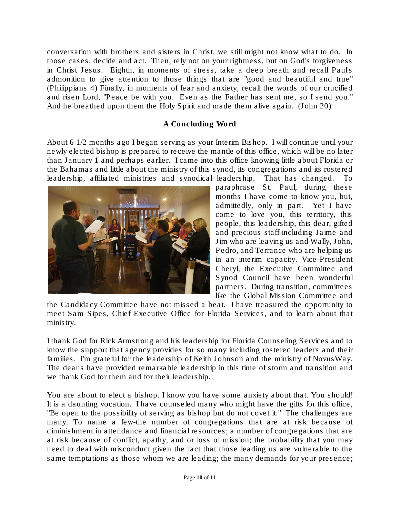conversation with brothers and sisters in Christ, we still might not know what to do. In those cases, decide and act. Then, rely not on your rightness, but on God's forgiveness in Christ Jesus. Eighth, in moments of stress, take a deep breath and recall Paul's admonition to give attention to those things that are "good and beautiful and true" (Philippians 4) Finally, in moments of fear and anxiety, recall the words of our crucified and risen Lord, "Peace be with you. Even as the Father has sent me, so I send you." And he breathed upon them the Holy Spirit and made them alive again. (John 20)

## A Concluding Word

About 6 1/2 months ago I began serving as your Interim Bishop. I will continue until your newly elected bishop is prepared to receive the mantle of this office, which will be no later than January 1 and perhaps earlier. I came into this office knowing little about Florida or the Bahamas and little about the ministry of this synod, its congregations and its rostered leadership, affiliated ministries and synodical leadership. That has changed. To



paraphrase St. Paul, during these months I have come to know you, but, admittedly, only in part. Yet I have come to love you, this territory, this people, this leadership, this dear, gifted and precious staff-including Jaime and Jim who are leaving us and Wally, John, Pedro, and Terrance who are helping us in an interim capacity. Vice-President Cheryl, the Executive Committee and Synod Council have been wonderful partners. During transition, committees like the Global Mission Committee and

the Candidacy Committee have not missed a beat. I have treasured the opportunity to meet Sam Sipes, Chief Executive Office for Florida Services, and to learn about that ministry.

I thank God for Rick Armstrong and his leadership for Florida Counseling Services and to know the support that agency provides for so many including rostered leaders and their families. I'm grateful for the leadership of Keith Johnson and the ministry of NovusWay. The deans have provided remarkable leadership in this time of storm and transition and we thank God for them and for their leadership.

You are about to elect a bishop. I know you have some anxiety about that. You should! It is a daunting vocation. I have counseled many who might have the gifts for this office, "Be open to the possibility of serving as bishop but do not covet it." The challenges are many. To name a few-the number of congregations that are at risk because of diminishment in attendance and financial resources; a number of congregations that are at risk because of conflict, apathy, and or loss of mission; the probability that you may need to deal with misconduct given the fact that those leading us are vulnerable to the same temptations as those whom we are leading; the many demands for your presence;